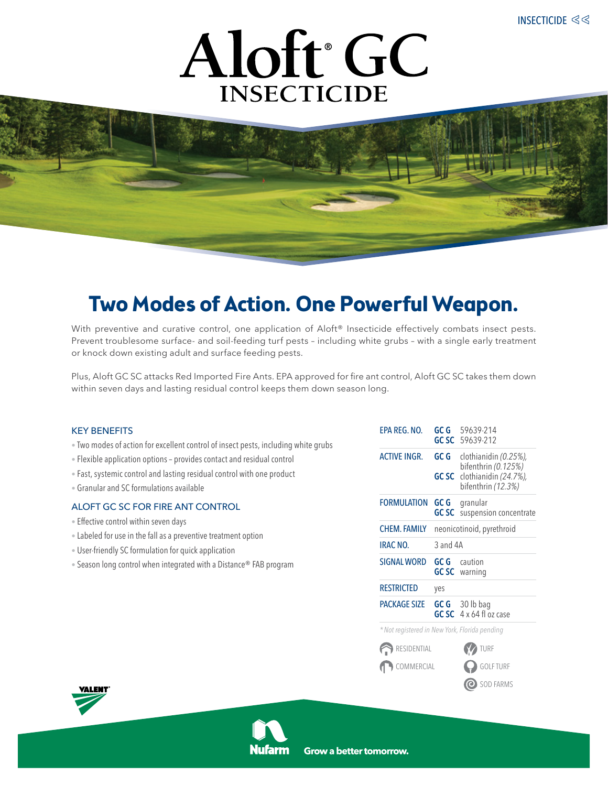



# **Two Modes of Action. One Powerful Weapon.**

With preventive and curative control, one application of Aloft<sup>®</sup> Insecticide effectively combats insect pests. Prevent troublesome surface- and soil-feeding turf pests – including white grubs – with a single early treatment or knock down existing adult and surface feeding pests.

Plus, Aloft GC SC attacks Red Imported Fire Ants. EPA approved for fire ant control, Aloft GC SC takes them down within seven days and lasting residual control keeps them down season long.

## KEY BENEFITS

- Two modes of action for excellent control of insect pests, including white grubs
- Flexible application options provides contact and residual control
- Fast, systemic control and lasting residual control with one product
- Granular and SC formulations available

# ALOFT GC SC for Fire Ant Control

- Effective control within seven days
- Labeled for use in the fall as a preventive treatment option
- User-friendly SC formulation for quick application
- Season long control when integrated with a Distance® FAB program

| EPA REG. NO.                                 | GC G                                                                                                                | 59639-214<br>GC SC 59639-212                     |  |  |
|----------------------------------------------|---------------------------------------------------------------------------------------------------------------------|--------------------------------------------------|--|--|
| <b>ACTIVE INGR.</b>                          | GC G<br>clothianidin (0.25%),<br>bifenthrin (0.125%)<br>clothianidin (24.7%),<br><b>GC SC</b><br>bifenthrin (12.3%) |                                                  |  |  |
| <b>FORMULATION</b>                           | GC G<br><b>GC SC</b>                                                                                                | granular<br>suspension concentrate               |  |  |
| <b>CHEM. FAMILY</b>                          | neonicotinoid, pyrethroid                                                                                           |                                                  |  |  |
| <b>IRAC NO.</b>                              | 3 and 4A                                                                                                            |                                                  |  |  |
| <b>SIGNAL WORD</b>                           | GC G                                                                                                                | caution<br><b>GCSC</b> warning                   |  |  |
| <b>RESTRICTED</b>                            | yes                                                                                                                 |                                                  |  |  |
| <b>PACKAGE SIZE</b>                          |                                                                                                                     | GC G 30 lb bag<br>GC SC $4 \times 64$ fl oz case |  |  |
| *Not registered in New York, Florida pending |                                                                                                                     |                                                  |  |  |
| RESIDENTIAL                                  |                                                                                                                     | <b>V</b> TURF                                    |  |  |
| COMMERCIAL                                   |                                                                                                                     | <b>O</b> GOLF TURF                               |  |  |
|                                              |                                                                                                                     | SOD FARMS                                        |  |  |